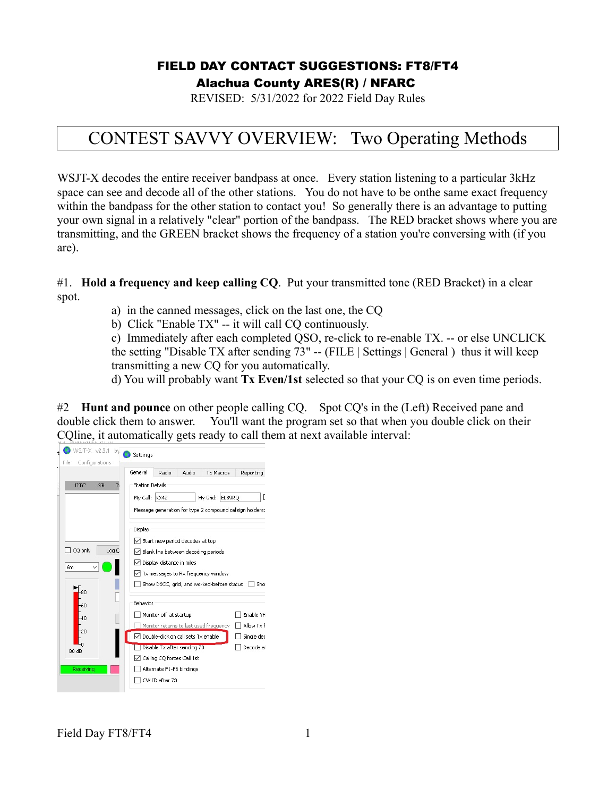### FIELD DAY CONTACT SUGGESTIONS: FT8/FT4 Alachua County ARES(R) / NFARC

REVISED: 5/31/2022 for 2022 Field Day Rules

## CONTEST SAVVY OVERVIEW: Two Operating Methods

WSJT-X decodes the entire receiver bandpass at once. Every station listening to a particular 3kHz space can see and decode all of the other stations. You do not have to be onthe same exact frequency within the bandpass for the other station to contact you! So generally there is an advantage to putting your own signal in a relatively "clear" portion of the bandpass. The RED bracket shows where you are transmitting, and the GREEN bracket shows the frequency of a station you're conversing with (if you are).

#1. **Hold a frequency and keep calling CQ**. Put your transmitted tone (RED Bracket) in a clear spot.

a) in the canned messages, click on the last one, the CQ

b) Click "Enable TX" -- it will call CQ continuously.

c) Immediately after each completed QSO, re-click to re-enable TX. -- or else UNCLICK the setting "Disable TX after sending 73" -- (FILE | Settings | General ) thus it will keep transmitting a new CQ for you automatically.

d) You will probably want **Tx Even/1st** selected so that your CQ is on even time periods.

#2 **Hunt and pounce** on other people calling CQ. Spot CQ's in the (Left) Received pane and double click them to answer. You'll want the program set so that when you double click on their CQline, it automatically gets ready to call them at next available interval:

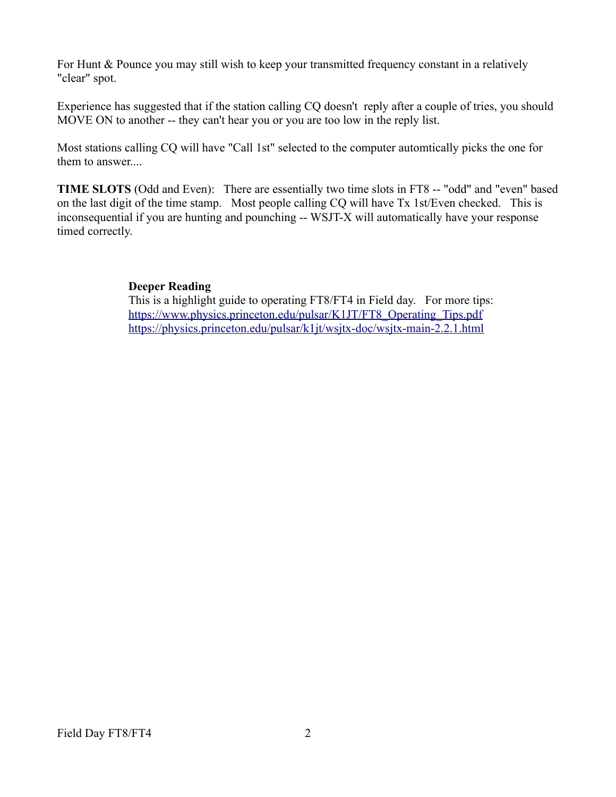For Hunt & Pounce you may still wish to keep your transmitted frequency constant in a relatively "clear" spot.

Experience has suggested that if the station calling CQ doesn't reply after a couple of tries, you should MOVE ON to another -- they can't hear you or you are too low in the reply list.

Most stations calling CQ will have "Call 1st" selected to the computer automtically picks the one for them to answer....

**TIME SLOTS** (Odd and Even): There are essentially two time slots in FT8 -- "odd" and "even" based on the last digit of the time stamp. Most people calling CQ will have Tx 1st/Even checked. This is inconsequential if you are hunting and pounching -- WSJT-X will automatically have your response timed correctly.

#### **Deeper Reading**

This is a highlight guide to operating FT8/FT4 in Field day. For more tips: [https://www.physics.princeton.edu/pulsar/K1JT/FT8\\_Operating\\_Tips.pdf](https://www.physics.princeton.edu/pulsar/K1JT/FT8_Operating_Tips.pdf) <https://physics.princeton.edu/pulsar/k1jt/wsjtx-doc/wsjtx-main-2.2.1.html>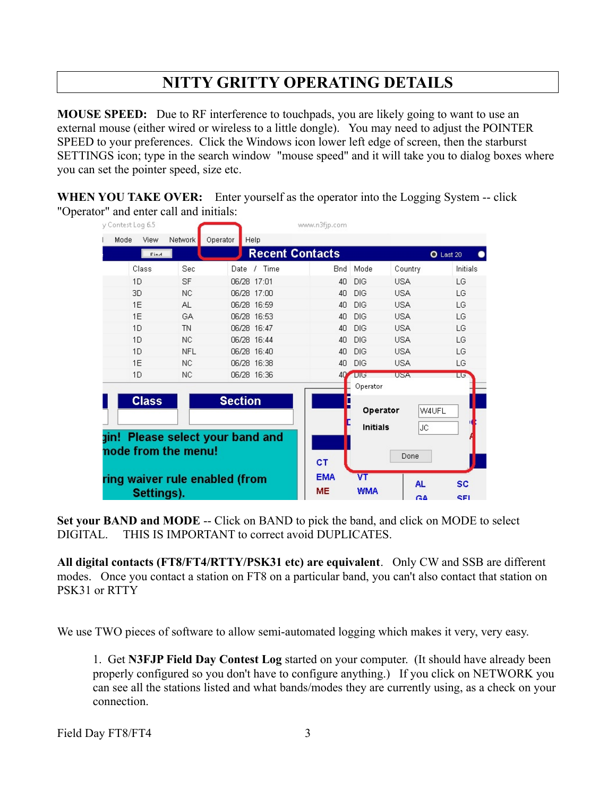## **NITTY GRITTY OPERATING DETAILS**

**MOUSE SPEED:** Due to RF interference to touchpads, you are likely going to want to use an external mouse (either wired or wireless to a little dongle). You may need to adjust the POINTER SPEED to your preferences. Click the Windows icon lower left edge of screen, then the starburst SETTINGS icon; type in the search window "mouse speed" and it will take you to dialog boxes where you can set the pointer speed, size etc.

**WHEN YOU TAKE OVER:** Enter yourself as the operator into the Logging System -- click "Operator" and enter call and initials:

|                     | y Contest Log 6.5              |              |            |                                  |                        |  | www.n3fjp.com  |                 |            |           |           |
|---------------------|--------------------------------|--------------|------------|----------------------------------|------------------------|--|----------------|-----------------|------------|-----------|-----------|
|                     | Mode                           | View         | Network    | Operator                         | Help                   |  |                |                 |            |           |           |
|                     |                                | Find         |            |                                  | <b>Recent Contacts</b> |  |                |                 |            |           | O Last 20 |
|                     |                                | Class        | Sec        | Date                             | Time<br>J              |  | <b>Bnd</b>     | Mode            | Country    |           | Initials  |
|                     |                                | 1D           | <b>SF</b>  |                                  | 06/28 17:01            |  | 40             | DIG             | <b>USA</b> |           | LG        |
|                     | 3D                             |              | <b>NC</b>  |                                  | 06/28 17:00            |  | 40             | DIG             | <b>USA</b> |           | LG        |
|                     |                                | 1F           | AL.        |                                  | 06/28 16:59            |  | 4 <sub>0</sub> | DIG             | <b>USA</b> |           | LG        |
|                     |                                | 1E           | GA         |                                  | 06/28 16:53            |  | 40             | DIG             | <b>USA</b> |           | LG        |
|                     |                                | 1D           | <b>TN</b>  |                                  | 06/28 16:47            |  | 40             | DIG             | <b>USA</b> |           | LG        |
|                     |                                | 1D           | NC.        |                                  | 06/28 16:44            |  | 40             | DIG             | <b>USA</b> |           | LG        |
|                     |                                | 1D           | <b>NFL</b> |                                  | 06/28 16:40            |  | 40             | DIG             | <b>USA</b> |           | LG        |
|                     |                                | 1E           | <b>NC</b>  |                                  | 06/28 16:38            |  | 40             | DIG             | <b>USA</b> |           | LG        |
|                     |                                | 1D           | <b>NC</b>  |                                  | 06/28 16:36            |  | 40             | $-1015$         | <b>USA</b> |           | Lσ        |
|                     |                                |              |            |                                  |                        |  |                | Operator        |            |           |           |
|                     |                                | <b>Class</b> |            | <b>Section</b>                   |                        |  | П              |                 |            |           |           |
|                     |                                |              |            |                                  |                        |  |                | Operator        |            | W4UFL     |           |
|                     |                                |              |            |                                  |                        |  |                | <b>Initials</b> |            | JC.       |           |
|                     |                                |              |            | gin! Please select your band and |                        |  |                |                 |            |           |           |
| node from the menu! |                                |              |            |                                  |                        |  |                |                 |            |           |           |
|                     |                                |              |            |                                  |                        |  | <b>CT</b>      |                 | Done       |           |           |
|                     | ring waiver rule enabled (from |              |            |                                  |                        |  | <b>EMA</b>     | VT              |            |           |           |
|                     |                                | Settings).   |            |                                  |                        |  | <b>ME</b>      | <b>WMA</b>      |            | AL.       | <b>SC</b> |
|                     |                                |              |            |                                  |                        |  |                |                 |            | <b>GA</b> | SEI       |

**Set your BAND and MODE** -- Click on BAND to pick the band, and click on MODE to select DIGITAL. THIS IS IMPORTANT to correct avoid DUPLICATES.

**All digital contacts (FT8/FT4/RTTY/PSK31 etc) are equivalent**. Only CW and SSB are different modes. Once you contact a station on FT8 on a particular band, you can't also contact that station on PSK31 or RTTY

We use TWO pieces of software to allow semi-automated logging which makes it very, very easy.

1. Get **N3FJP Field Day Contest Log** started on your computer. (It should have already been properly configured so you don't have to configure anything.) If you click on NETWORK you can see all the stations listed and what bands/modes they are currently using, as a check on your connection.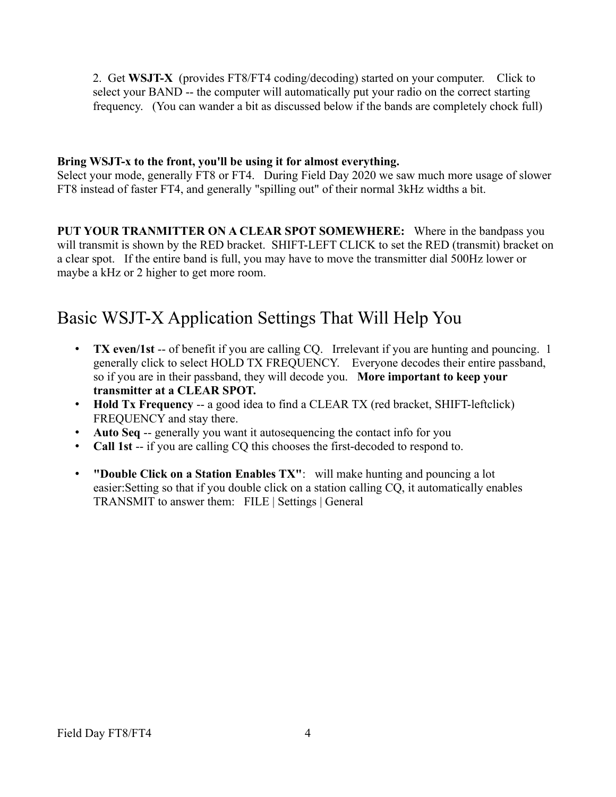2. Get **WSJT-X** (provides FT8/FT4 coding/decoding) started on your computer. Click to select your BAND -- the computer will automatically put your radio on the correct starting frequency. (You can wander a bit as discussed below if the bands are completely chock full)

#### **Bring WSJT-x to the front, you'll be using it for almost everything.**

Select your mode, generally FT8 or FT4. During Field Day 2020 we saw much more usage of slower FT8 instead of faster FT4, and generally "spilling out" of their normal 3kHz widths a bit.

**PUT YOUR TRANMITTER ON A CLEAR SPOT SOMEWHERE:** Where in the bandpass you will transmit is shown by the RED bracket. SHIFT-LEFT CLICK to set the RED (transmit) bracket on a clear spot. If the entire band is full, you may have to move the transmitter dial 500Hz lower or maybe a kHz or 2 higher to get more room.

# Basic WSJT-X Application Settings That Will Help You

- **TX even/1st** -- of benefit if you are calling CQ. Irrelevant if you are hunting and pouncing. 1 generally click to select HOLD TX FREQUENCY. Everyone decodes their entire passband, so if you are in their passband, they will decode you. **More important to keep your transmitter at a CLEAR SPOT.**
- **Hold Tx Frequency** -- a good idea to find a CLEAR TX (red bracket, SHIFT-leftclick) FREQUENCY and stay there.
- **Auto Seq** -- generally you want it autosequencing the contact info for you
- **Call 1st** -- if you are calling CQ this chooses the first-decoded to respond to.
- **"Double Click on a Station Enables TX"**: will make hunting and pouncing a lot easier:Setting so that if you double click on a station calling CQ, it automatically enables TRANSMIT to answer them: FILE | Settings | General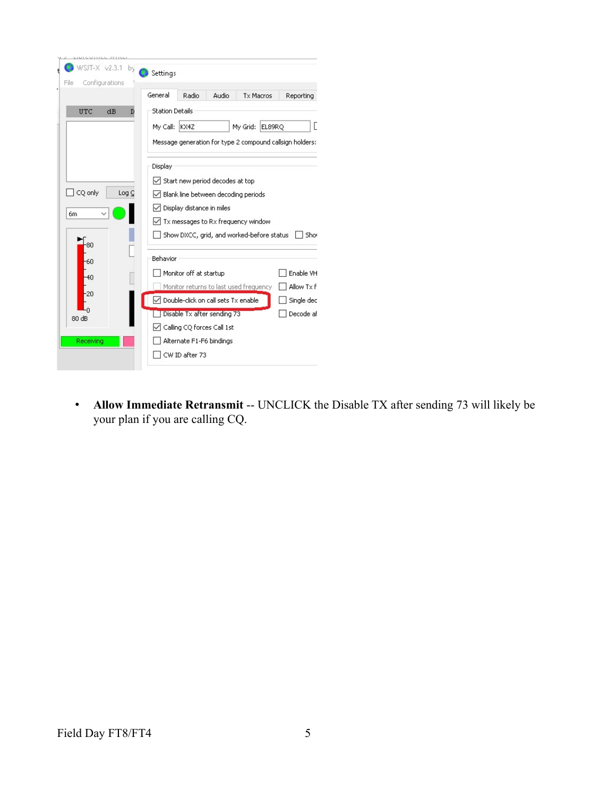| YY LILL<br>WILL                               |                                                                     |  |  |  |  |  |  |  |
|-----------------------------------------------|---------------------------------------------------------------------|--|--|--|--|--|--|--|
| WSJT-X v2.3.1<br>by<br>File<br>Configurations | Settings                                                            |  |  |  |  |  |  |  |
|                                               | General<br>Radio<br>Audio<br><b>Tx Macros</b><br>Reporting          |  |  |  |  |  |  |  |
| <b>UTC</b><br>dB<br>D                         | <b>Station Details</b>                                              |  |  |  |  |  |  |  |
|                                               | My Call: KX4Z<br>EL89RO<br>My Grid:                                 |  |  |  |  |  |  |  |
|                                               | Message generation for type 2 compound callsign holders:<br>Display |  |  |  |  |  |  |  |
|                                               |                                                                     |  |  |  |  |  |  |  |
|                                               | $\sqrt{}$ Start new period decodes at top                           |  |  |  |  |  |  |  |
| CQ only<br>Log Q                              | Blank line between decoding periods                                 |  |  |  |  |  |  |  |
| 6m                                            | Display distance in miles                                           |  |  |  |  |  |  |  |
|                                               | Tx messages to Rx frequency window                                  |  |  |  |  |  |  |  |
| 80                                            | Show DXCC, grid, and worked-before status<br>Shor                   |  |  |  |  |  |  |  |
| -60                                           | Behavior                                                            |  |  |  |  |  |  |  |
| $-40$                                         | Monitor off at startup<br>Enable VH                                 |  |  |  |  |  |  |  |
| $-20$                                         | Allow Tx F<br>Monitor returns to last used frequency                |  |  |  |  |  |  |  |
|                                               | Double-click on call sets Tx enable<br>Single dec                   |  |  |  |  |  |  |  |
| 80 dB                                         | Decode af<br>Disable Tx after sending 73                            |  |  |  |  |  |  |  |
|                                               | Calling CQ forces Call 1st                                          |  |  |  |  |  |  |  |
| Receiving                                     | Alternate F1-F6 bindings                                            |  |  |  |  |  |  |  |
|                                               | CW ID after 73                                                      |  |  |  |  |  |  |  |

• Allow Immediate Retransmit -- UNCLICK the Disable TX after sending 73 will likely be your plan if you are calling CQ.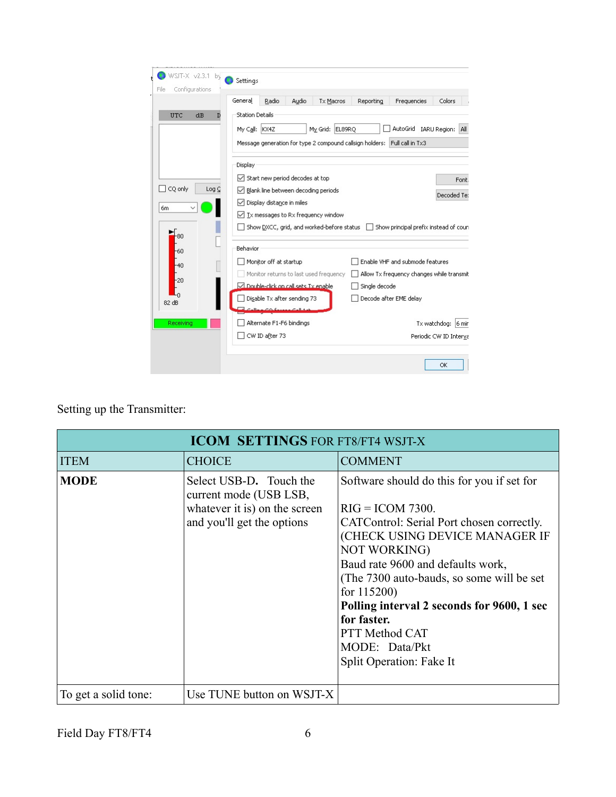| WSJT-X v2.3.1 by                         | Settings                                                                                                                                                                                                                                                                                                                                                                                                                                                          |                                                                                                |        |                                        |               |                                                                                                        |                                              |  |  |
|------------------------------------------|-------------------------------------------------------------------------------------------------------------------------------------------------------------------------------------------------------------------------------------------------------------------------------------------------------------------------------------------------------------------------------------------------------------------------------------------------------------------|------------------------------------------------------------------------------------------------|--------|----------------------------------------|---------------|--------------------------------------------------------------------------------------------------------|----------------------------------------------|--|--|
| Configurations<br>File                   | General                                                                                                                                                                                                                                                                                                                                                                                                                                                           | Radio                                                                                          | Audio  | <b>Tx Macros</b>                       | Reporting     | Frequencies                                                                                            | Colors                                       |  |  |
| UTC<br>dB<br>D<br>CQ only<br>Log C<br>6m | <b>Station Details</b><br>My Grid: EL89RQ<br>AutoGrid<br>IARU Region:<br>My Call: KX4Z<br>All<br>Message generation for type 2 compound callsign holders: Full call in Tx3<br>Display<br>Start new period decodes at top<br>✓<br>Font.<br>Blank line between decoding periods<br>Decoded Te:<br>Display distance in miles<br>✓<br>Tx messages to Rx frequency window<br>✓<br>Show DXCC, grid, and worked-before status  <br>Show principal prefix instead of coun |                                                                                                |        |                                        |               |                                                                                                        |                                              |  |  |
| 80<br>-60<br>$-40$<br>$-20$<br>82 dB     | Behavior                                                                                                                                                                                                                                                                                                                                                                                                                                                          | Monitor off at startup<br>□ Double-click on call sets Tx enable<br>Disable Tx after sending 73 | فللكمم | Monitor returns to last used frequency | Single decode | Enable VHF and submode features<br>Allow Tx frequency changes while transmit<br>Decode after EME delay |                                              |  |  |
| Receiving                                |                                                                                                                                                                                                                                                                                                                                                                                                                                                                   | Alternate F1-F6 bindings<br>CW ID after 73                                                     |        |                                        |               |                                                                                                        | Tx watchdog: 6 min<br>Periodic CW ID Interva |  |  |
|                                          |                                                                                                                                                                                                                                                                                                                                                                                                                                                                   |                                                                                                |        |                                        |               |                                                                                                        | OK                                           |  |  |

Setting up the Transmitter:

| <b>ICOM SETTINGS FOR FT8/FT4 WSJT-X</b> |                                                                                                                  |                                                                                                                                                                                                                                                                                                                                                                                                                 |  |  |  |  |  |  |
|-----------------------------------------|------------------------------------------------------------------------------------------------------------------|-----------------------------------------------------------------------------------------------------------------------------------------------------------------------------------------------------------------------------------------------------------------------------------------------------------------------------------------------------------------------------------------------------------------|--|--|--|--|--|--|
| <b>ITEM</b>                             | <b>CHOICE</b>                                                                                                    | <b>COMMENT</b>                                                                                                                                                                                                                                                                                                                                                                                                  |  |  |  |  |  |  |
| <b>MODE</b>                             | Select USB-D. Touch the<br>current mode (USB LSB,<br>whatever it is) on the screen<br>and you'll get the options | Software should do this for you if set for<br>$RIG = ICOM$ 7300.<br>CATControl: Serial Port chosen correctly.<br>(CHECK USING DEVICE MANAGER IF<br><b>NOT WORKING</b> )<br>Baud rate 9600 and defaults work,<br>(The 7300 auto-bauds, so some will be set<br>for $115200$ )<br>Polling interval 2 seconds for 9600, 1 sec<br>for faster.<br><b>PTT Method CAT</b><br>MODE: Data/Pkt<br>Split Operation: Fake It |  |  |  |  |  |  |
| To get a solid tone:                    | Use TUNE button on WSJT-X                                                                                        |                                                                                                                                                                                                                                                                                                                                                                                                                 |  |  |  |  |  |  |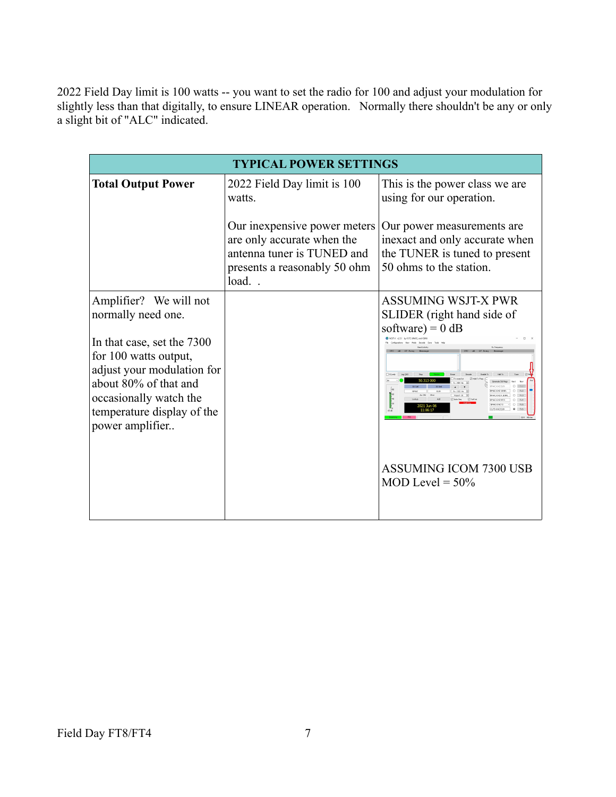2022 Field Day limit is 100 watts -- you want to set the radio for 100 and adjust your modulation for slightly less than that digitally, to ensure LINEAR operation. Normally there shouldn't be any or only a slight bit of "ALC" indicated.

| <b>TYPICAL POWER SETTINGS</b>                                                                                                                                                                                                         |                                                                                                                                       |                                                                                                                           |  |  |  |  |  |  |  |  |
|---------------------------------------------------------------------------------------------------------------------------------------------------------------------------------------------------------------------------------------|---------------------------------------------------------------------------------------------------------------------------------------|---------------------------------------------------------------------------------------------------------------------------|--|--|--|--|--|--|--|--|
| <b>Total Output Power</b>                                                                                                                                                                                                             | 2022 Field Day limit is 100<br>watts.                                                                                                 | This is the power class we are<br>using for our operation.                                                                |  |  |  |  |  |  |  |  |
|                                                                                                                                                                                                                                       | Our inexpensive power meters<br>are only accurate when the<br>antenna tuner is TUNED and<br>presents a reasonably 50 ohm<br>$load.$ . | Our power measurements are.<br>inexact and only accurate when<br>the TUNER is tuned to present<br>50 ohms to the station. |  |  |  |  |  |  |  |  |
| Amplifier? We will not<br>normally need one.<br>In that case, set the 7300<br>for 100 watts output,<br>adjust your modulation for<br>about 80% of that and<br>occasionally watch the<br>temperature display of the<br>power amplifier |                                                                                                                                       | <b>ASSUMING WSJT-X PWR</b><br>SLIDER (right hand side of<br>software) = $0$ dB<br>Tx8                                     |  |  |  |  |  |  |  |  |
|                                                                                                                                                                                                                                       |                                                                                                                                       | <b>ASSUMING ICOM 7300 USB</b><br>MOD Level = $50\%$                                                                       |  |  |  |  |  |  |  |  |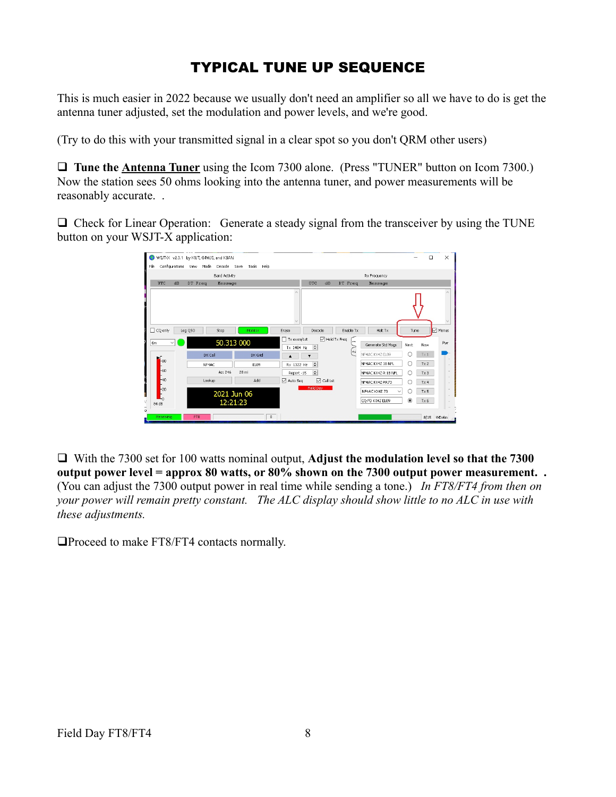## TYPICAL TUNE UP SEQUENCE

This is much easier in 2022 because we usually don't need an amplifier so all we have to do is get the antenna tuner adjusted, set the modulation and power levels, and we're good.

(Try to do this with your transmitted signal in a clear spot so you don't QRM other users)

**Q Tune the Antenna Tuner** using the Icom 7300 alone. (Press "TUNER" button on Icom 7300.) Now the station sees 50 ohms looking into the antenna tuner, and power measurements will be reasonably accurate. .

 $\Box$  Check for Linear Operation: Generate a steady signal from the transceiver by using the TUNE button on your WSJT-X application:

| File<br>Configurations | WSJT-X v2.3.1 by K1JT, G4WJS, and K9AN<br>View Mode Decode Save |                      | Tools Help |                |                                    |                                          |                                           |                          |                               |                | п    | $\times$   |
|------------------------|-----------------------------------------------------------------|----------------------|------------|----------------|------------------------------------|------------------------------------------|-------------------------------------------|--------------------------|-------------------------------|----------------|------|------------|
|                        |                                                                 | <b>Band Activity</b> |            |                |                                    |                                          |                                           |                          | Rx Frequency                  |                |      |            |
| UTC<br>dB              | DT Freq                                                         | Hessage              |            |                |                                    | UTC                                      | dB                                        | DT Freq                  | Hessage                       |                |      |            |
|                        |                                                                 |                      |            |                |                                    |                                          |                                           |                          |                               |                |      |            |
| $\Box$ CQ only         | Log QSO<br>Stop                                                 |                      | Monitor    |                | Erase                              | Decode                                   |                                           | Enable Tx                | Halt Tx                       | Tune           |      | Menus      |
| 6m                     |                                                                 | 50.313 000           |            |                | $\Box$ Tx even/1st<br>$Tx$ 1484 Hz | $\div$                                   | □ Hold Tx Freq                            | $\overline{\phantom{a}}$ | Generate Std Msgs             | Next           | Now  | Pwr        |
|                        | DX Call                                                         |                      | DX Grid    |                |                                    |                                          |                                           | l∾                       | NF4AC KX4Z EL89               | ∩              | Tx1  |            |
| l-80                   | NF4AC                                                           |                      | EL89       |                | Rx 1322 Hz                         | $\div$                                   |                                           |                          | NF4AC KX4Z 1B NFL             | O              | Tx2  |            |
| -60                    |                                                                 | Az: 246              | 28 mi      |                | Report-15                          | $\left  \frac{\bullet}{\bullet} \right $ |                                           |                          | NF4AC KX4Z R 1B NFL           | ∩              | Tx3  |            |
| $-40$                  | Lookup                                                          |                      | Add        |                | □ Auto Seq                         |                                          | $\boxed{\smash{\bigtriangleup}}$ Call 1st |                          | NF4AC KX47 RR73               | O              | Tx 4 |            |
| $-20$                  |                                                                 | 2021 Jun 06          |            |                |                                    | Field Day                                |                                           |                          | NF4AC KX4Z 73<br>$\checkmark$ |                | Tx 5 |            |
| 'n.<br>84dB            |                                                                 | 12:21:23             |            |                |                                    |                                          |                                           |                          | CQ FD KX4Z EL89               | $\circledcirc$ | Tx6  |            |
| Receiving              | FT8                                                             |                      |            | $\overline{0}$ |                                    |                                          |                                           |                          |                               |                |      | 8/15 WD:6m |

 $\Box$  With the 7300 set for 100 watts nominal output, **Adjust the modulation level so that the 7300 output power level = approx 80 watts, or 80% shown on the 7300 output power measurement. .** (You can adjust the 7300 output power in real time while sending a tone.) *In FT8/FT4 from then on your power will remain pretty constant. The ALC display should show little to no ALC in use with these adjustments.*

 $\Box$ Proceed to make FT8/FT4 contacts normally.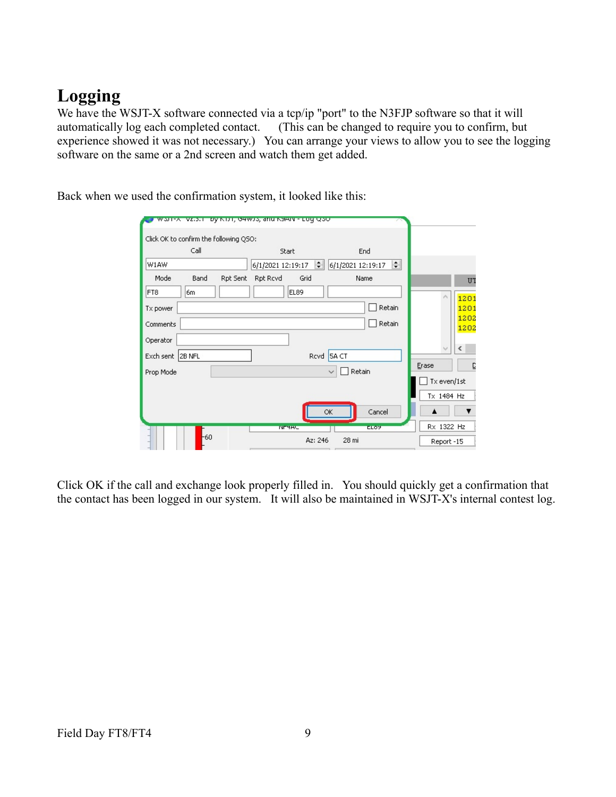# **Logging**

We have the WSJT-X software connected via a tcp/ip "port" to the N3FJP software so that it will automatically log each completed contact. (This can be changed to require you to confirm, but experience showed it was not necessary.) You can arrange your views to allow you to see the logging software on the same or a 2nd screen and watch them get added.

Back when we used the confirmation system, it looked like this:

| worr-x vz.p.il by Kitti, dawto, and KaAN - Luq Qool |                   |                             |                 |             |
|-----------------------------------------------------|-------------------|-----------------------------|-----------------|-------------|
| Click OK to confirm the following QSO:              |                   |                             |                 |             |
| Call                                                | Start             | End                         |                 |             |
| W1AW                                                | 6/1/2021 12:19:17 | $\div$<br>6/1/2021 12:19:17 |                 |             |
| Mode<br>Band<br>Rpt Sent                            | Grid<br>Rpt Rcvd  | Name                        |                 | U'          |
| FT8<br>6m                                           | EL89              |                             | $\mathcal{O}_2$ | 120         |
| Tx power                                            |                   | Retain                      |                 | 120         |
| Comments                                            |                   | Retain                      |                 | 1202<br>120 |
| Operator                                            |                   |                             |                 |             |
| Exch sent<br>2B NFL                                 |                   | Rcvd 5A CT                  | v               | $\langle$   |
| Prop Mode                                           |                   | Retain<br>$\checkmark$      | Erase           |             |
|                                                     |                   |                             | Tx even/1st     |             |
|                                                     |                   |                             | Tx 1484 Hz      |             |
|                                                     |                   | OK<br>Cancel                |                 |             |
|                                                     | <b>INFITAL</b>    | <b>ELOP</b>                 | Rx 1322 Hz      |             |
| $-60$                                               | Az: 246           | 28 mi                       | Report-15       |             |

Click OK if the call and exchange look properly filled in. You should quickly get a confirmation that the contact has been logged in our system. It will also be maintained in WSJT-X's internal contest log.